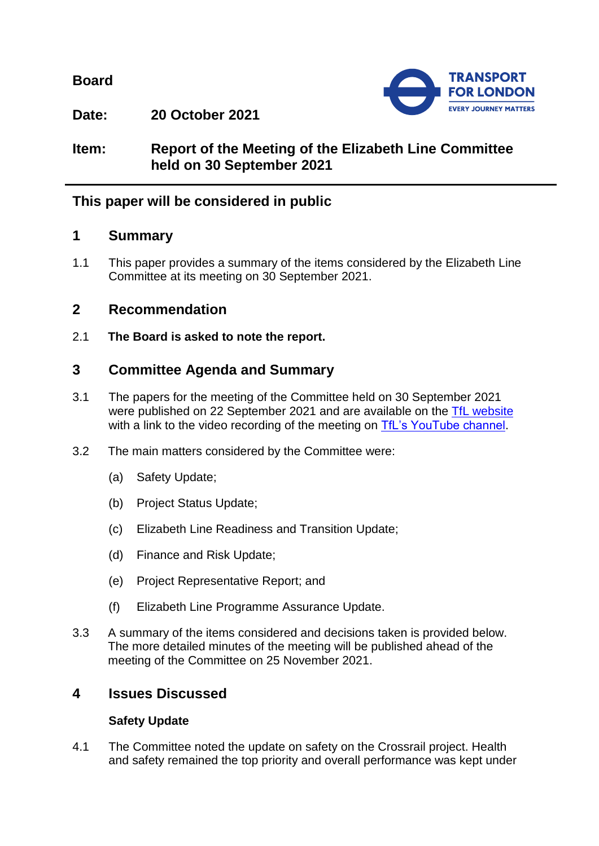**Board**



**Date: 20 October 2021**

## **Item: Report of the Meeting of the Elizabeth Line Committee held on 30 September 2021**

## **This paper will be considered in public**

### **1 Summary**

1.1 This paper provides a summary of the items considered by the Elizabeth Line Committee at its meeting on 30 September 2021.

## **2 Recommendation**

2.1 **The Board is asked to note the report.**

# **3 Committee Agenda and Summary**

- 3.1 The papers for the meeting of the Committee held on 30 September 2021 were published on 22 September 2021 and are available on the [TfL website](https://board.tfl.gov.uk/uuCoverPage.aspx?bcr=1) with a link to the video recording of the meeting on [TfL's YouTube channel.](https://www.youtube.com/playlist?list=PLtnlusA0Zoggk4qvN68OcnD9k_7B8cY_d)
- 3.2 The main matters considered by the Committee were:
	- (a) Safety Update;
	- (b) Project Status Update;
	- (c) Elizabeth Line Readiness and Transition Update;
	- (d) Finance and Risk Update;
	- (e) Project Representative Report; and
	- (f) Elizabeth Line Programme Assurance Update.
- 3.3 A summary of the items considered and decisions taken is provided below. The more detailed minutes of the meeting will be published ahead of the meeting of the Committee on 25 November 2021.

## **4 Issues Discussed**

### **Safety Update**

4.1 The Committee noted the update on safety on the Crossrail project. Health and safety remained the top priority and overall performance was kept under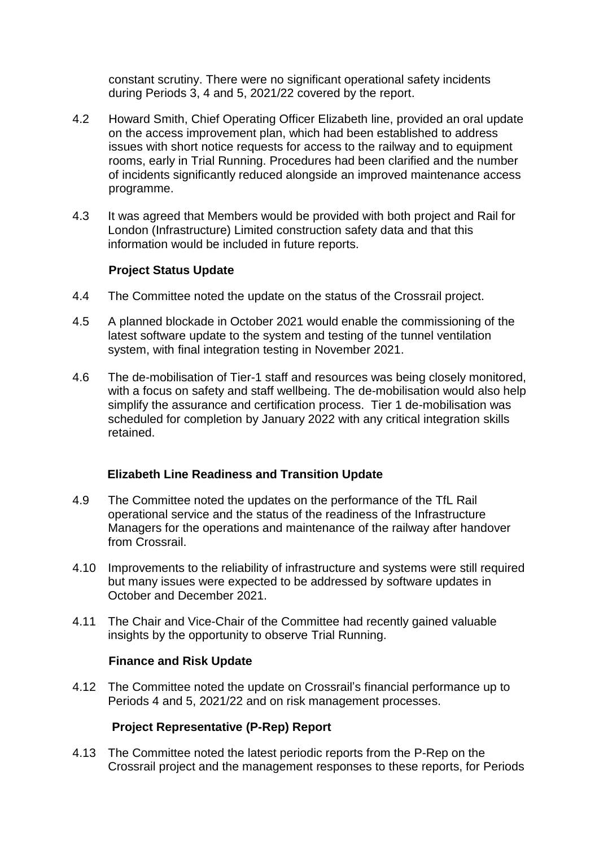constant scrutiny. There were no significant operational safety incidents during Periods 3, 4 and 5, 2021/22 covered by the report.

- 4.2 Howard Smith, Chief Operating Officer Elizabeth line, provided an oral update on the access improvement plan, which had been established to address issues with short notice requests for access to the railway and to equipment rooms, early in Trial Running. Procedures had been clarified and the number of incidents significantly reduced alongside an improved maintenance access programme.
- 4.3 It was agreed that Members would be provided with both project and Rail for London (Infrastructure) Limited construction safety data and that this information would be included in future reports.

#### **Project Status Update**

- 4.4 The Committee noted the update on the status of the Crossrail project.
- 4.5 A planned blockade in October 2021 would enable the commissioning of the latest software update to the system and testing of the tunnel ventilation system, with final integration testing in November 2021.
- 4.6 The de-mobilisation of Tier-1 staff and resources was being closely monitored, with a focus on safety and staff wellbeing. The de-mobilisation would also help simplify the assurance and certification process. Tier 1 de-mobilisation was scheduled for completion by January 2022 with any critical integration skills retained.

#### **Elizabeth Line Readiness and Transition Update**

- 4.9 The Committee noted the updates on the performance of the TfL Rail operational service and the status of the readiness of the Infrastructure Managers for the operations and maintenance of the railway after handover from Crossrail.
- 4.10 Improvements to the reliability of infrastructure and systems were still required but many issues were expected to be addressed by software updates in October and December 2021.
- 4.11 The Chair and Vice-Chair of the Committee had recently gained valuable insights by the opportunity to observe Trial Running.

#### **Finance and Risk Update**

4.12 The Committee noted the update on Crossrail's financial performance up to Periods 4 and 5, 2021/22 and on risk management processes.

### **Project Representative (P-Rep) Report**

4.13 The Committee noted the latest periodic reports from the P-Rep on the Crossrail project and the management responses to these reports, for Periods